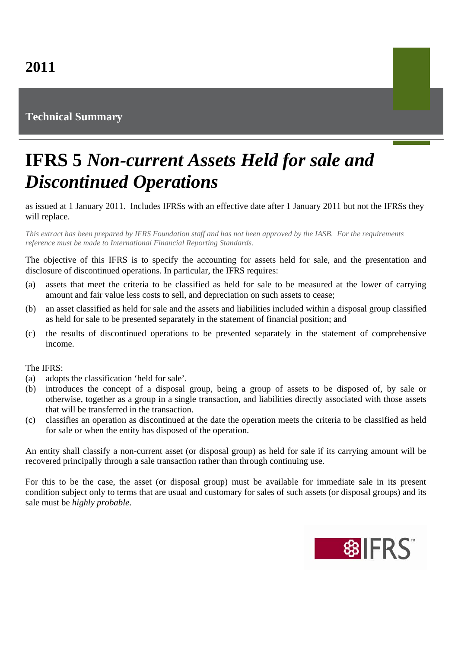## **Technical Summary**

## **IFRS 5** *Non-current Assets Held for sale and Discontinued Operations*

as issued at 1 January 2011. Includes IFRSs with an effective date after 1 January 2011 but not the IFRSs they will replace.

*This extract has been prepared by IFRS Foundation staff and has not been approved by the IASB. For the requirements reference must be made to International Financial Reporting Standards.*

The objective of this IFRS is to specify the accounting for assets held for sale, and the presentation and disclosure of discontinued operations. In particular, the IFRS requires:

- (a) assets that meet the criteria to be classified as held for sale to be measured at the lower of carrying amount and fair value less costs to sell, and depreciation on such assets to cease;
- (b) an asset classified as held for sale and the assets and liabilities included within a disposal group classified as held for sale to be presented separately in the statement of financial position; and
- (c) the results of discontinued operations to be presented separately in the statement of comprehensive income.

## The IFRS:

- (a) adopts the classification 'held for sale'.
- (b) introduces the concept of a disposal group, being a group of assets to be disposed of, by sale or otherwise, together as a group in a single transaction, and liabilities directly associated with those assets that will be transferred in the transaction.
- (c) classifies an operation as discontinued at the date the operation meets the criteria to be classified as held for sale or when the entity has disposed of the operation.

An entity shall classify a non-current asset (or disposal group) as held for sale if its carrying amount will be recovered principally through a sale transaction rather than through continuing use.

For this to be the case, the asset (or disposal group) must be available for immediate sale in its present condition subject only to terms that are usual and customary for sales of such assets (or disposal groups) and its sale must be *highly probable*.